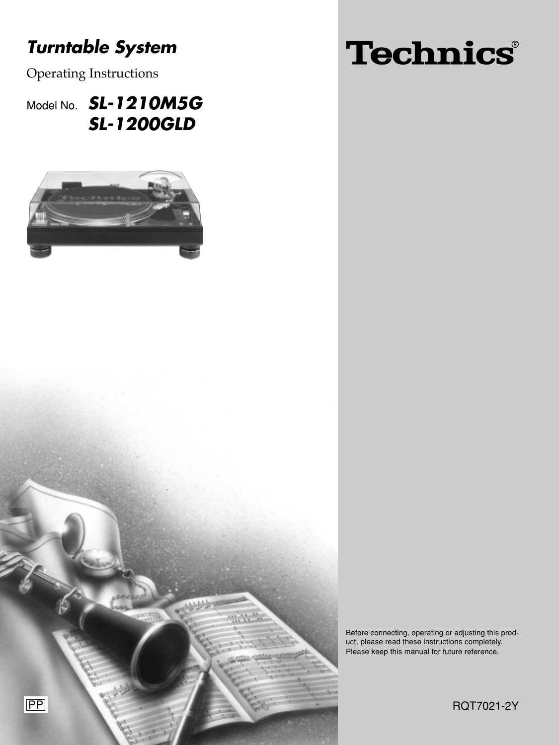# **Turntable System**

Operating Instructions

Model No. **SL-1210M5G SL-1200GLD**



# Technics®

Before connecting, operating or adjusting this product, please read these instructions completely. Please keep this manual for future reference.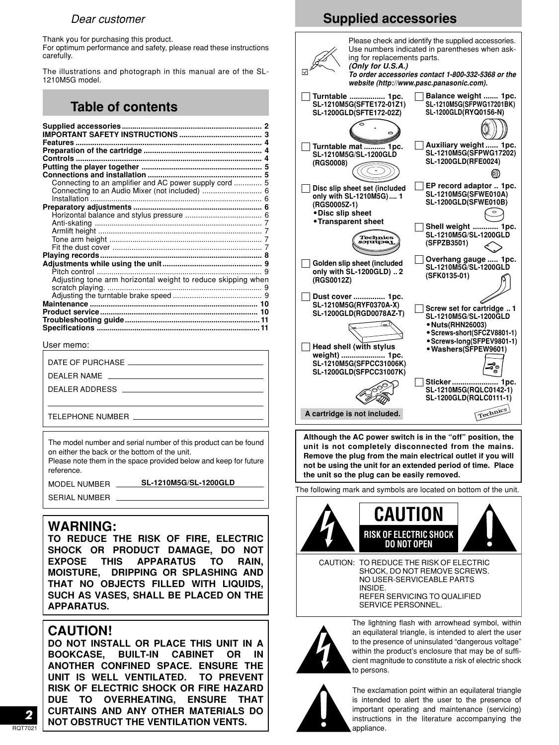### Dear customer

Thank you for purchasing this product.

For optimum performance and safety, please read these instructions carefully.

The illustrations and photograph in this manual are of the SL-1210M5G model.

# **Table of contents**

| Features                                                     |  |
|--------------------------------------------------------------|--|
|                                                              |  |
| <b>Controls </b>                                             |  |
|                                                              |  |
|                                                              |  |
| Connecting to an amplifier and AC power supply cord  5       |  |
|                                                              |  |
|                                                              |  |
|                                                              |  |
|                                                              |  |
|                                                              |  |
|                                                              |  |
|                                                              |  |
|                                                              |  |
|                                                              |  |
|                                                              |  |
|                                                              |  |
| Adjusting tone arm horizontal weight to reduce skipping when |  |
|                                                              |  |
|                                                              |  |
|                                                              |  |
|                                                              |  |
|                                                              |  |
|                                                              |  |

User memo:

| DEALER ADDRESS AND A SERIES AND THE SERIES AND THE SERIES OF THE SERIES OF THE SERIES OF THE SERIES OF THE SERIES OF THE SERIES OF THE SERIES OF THE SERIES OF THE SERIES OF THE SERIES OF THE SERIES OF THE SERIES OF THE SER |
|--------------------------------------------------------------------------------------------------------------------------------------------------------------------------------------------------------------------------------|
|                                                                                                                                                                                                                                |
| TELEPHONE NUMBER                                                                                                                                                                                                               |

The model number and serial number of this product can be found on either the back or the bottom of the unit.

Please note them in the space provided below and keep for future reference.

MODEL NUMBER **SL-1210M5G/SL-1200GLD** SERIAL NUMBER

# **WARNING:**

**TO REDUCE THE RISK OF FIRE, ELECTRIC SHOCK OR PRODUCT DAMAGE, DO NOT EXPOSE THIS APPARATUS TO RAIN, MOISTURE, DRIPPING OR SPLASHING AND THAT NO OBJECTS FILLED WITH LIQUIDS, SUCH AS VASES, SHALL BE PLACED ON THE APPARATUS.**

# **CAUTION!**

**DO NOT INSTALL OR PLACE THIS UNIT IN A BOOKCASE, BUILT-IN CABINET OR IN ANOTHER CONFINED SPACE. ENSURE THE UNIT IS WELL VENTILATED. TO PREVENT RISK OF ELECTRIC SHOCK OR FIRE HAZARD DUE TO OVERHEATING, ENSURE THAT CURTAINS AND ANY OTHER MATERIALS DO NOT OBSTRUCT THE VENTILATION VENTS.**

# **Supplied accessories**





an equilateral triangle, is intended to alert the user to the presence of uninsulated "dangerous voltage" within the product's enclosure that may be of sufficient magnitude to constitute a risk of electric shock to persons.



The exclamation point within an equilateral triangle is intended to alert the user to the presence of important operating and maintenance (servicing) instructions in the literature accompanying the appliance.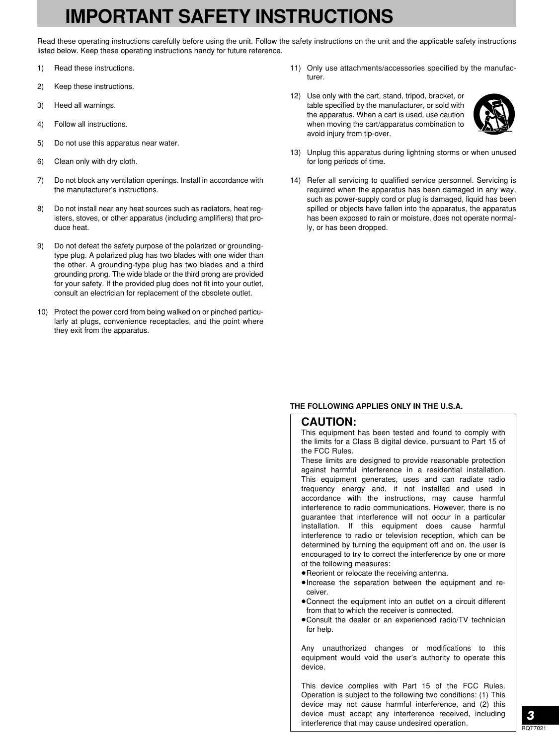# **IMPORTANT SAFETY INSTRUCTIONS**

Read these operating instructions carefully before using the unit. Follow the safety instructions on the unit and the applicable safety instructions listed below. Keep these operating instructions handy for future reference.

- 1) Read these instructions.
- 2) Keep these instructions.
- 3) Heed all warnings.
- 4) Follow all instructions.
- 5) Do not use this apparatus near water.
- 6) Clean only with dry cloth.
- 7) Do not block any ventilation openings. Install in accordance with the manufacturer's instructions.
- 8) Do not install near any heat sources such as radiators, heat registers, stoves, or other apparatus (including amplifiers) that produce heat.
- 9) Do not defeat the safety purpose of the polarized or groundingtype plug. A polarized plug has two blades with one wider than the other. A grounding-type plug has two blades and a third grounding prong. The wide blade or the third prong are provided for your safety. If the provided plug does not fit into your outlet, consult an electrician for replacement of the obsolete outlet.
- 10) Protect the power cord from being walked on or pinched particularly at plugs, convenience receptacles, and the point where they exit from the apparatus.
- 11) Only use attachments/accessories specified by the manufacturer.
- 12) Use only with the cart, stand, tripod, bracket, or table specified by the manufacturer, or sold with the apparatus. When a cart is used, use caution when moving the cart/apparatus combination to avoid injury from tip-over.



- 13) Unplug this apparatus during lightning storms or when unused for long periods of time.
- 14) Refer all servicing to qualified service personnel. Servicing is required when the apparatus has been damaged in any way, such as power-supply cord or plug is damaged, liquid has been spilled or objects have fallen into the apparatus, the apparatus has been exposed to rain or moisture, does not operate normally, or has been dropped.

#### **THE FOLLOWING APPLIES ONLY IN THE U.S.A.**

#### **CAUTION:**

This equipment has been tested and found to comply with the limits for a Class B digital device, pursuant to Part 15 of the FCC Rules.

These limits are designed to provide reasonable protection against harmful interference in a residential installation. This equipment generates, uses and can radiate radio frequency energy and, if not installed and used in accordance with the instructions, may cause harmful interference to radio communications. However, there is no guarantee that interference will not occur in a particular installation. If this equipment does cause harmful interference to radio or television reception, which can be determined by turning the equipment off and on, the user is encouraged to try to correct the interference by one or more of the following measures:

- ¡Reorient or relocate the receiving antenna.
- ¡Increase the separation between the equipment and receiver.
- ¡Connect the equipment into an outlet on a circuit different from that to which the receiver is connected.
- ¡Consult the dealer or an experienced radio/TV technician for help.

Any unauthorized changes or modifications to this equipment would void the user's authority to operate this device.

This device complies with Part 15 of the FCC Rules. Operation is subject to the following two conditions: (1) This device may not cause harmful interference, and (2) this device must accept any interference received, including interference that may cause undesired operation.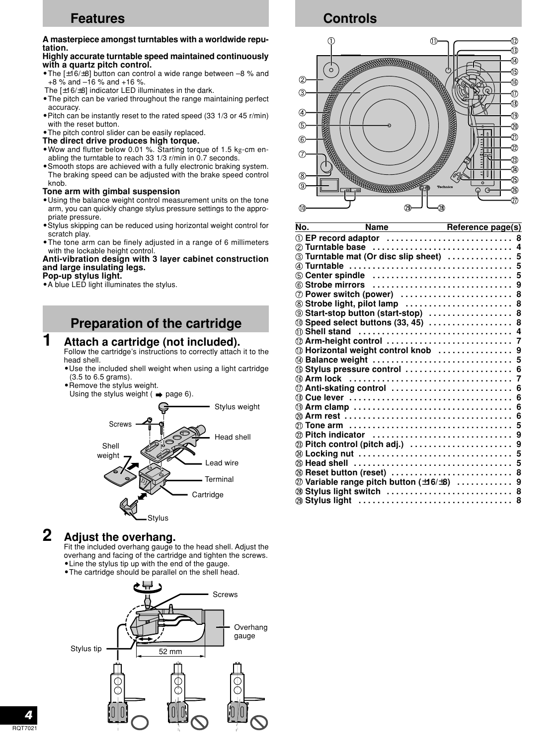# **Features**

#### **A masterpiece amongst turntables with a worldwide reputation.**

#### **Highly accurate turntable speed maintained continuously with a quartz pitch control.**

- **•**The [±16/±8] button can control a wide range between –8 % and  $+8\%$  and  $-16\%$  and  $+16\%$ .
- The [±16/±8] indicator LED illuminates in the dark.
- **•**The pitch can be varied throughout the range maintaining perfect accuracy.
- **•**Pitch can be instantly reset to the rated speed (33 1/3 or 45 r/min) with the reset button.
- **•**The pitch control slider can be easily replaced.
- **The direct drive produces high torque.**
- **•**Wow and flutter below 0.01 %. Starting torque of 1.5 kg-cm enabling the turntable to reach 33 1/3 r/min in 0.7 seconds.
- **•**Smooth stops are achieved with a fully electronic braking system. The braking speed can be adjusted with the brake speed control knob.

#### **Tone arm with gimbal suspension**

- **•**Using the balance weight control measurement units on the tone arm, you can quickly change stylus pressure settings to the appropriate pressure.
- **•**Stylus skipping can be reduced using horizontal weight control for scratch play.
- **•**The tone arm can be finely adjusted in a range of 6 millimeters with the lockable height control.

#### **Anti-vibration design with 3 layer cabinet construction and large insulating legs.**

#### **Pop-up stylus light.**

**•**A blue LED light illuminates the stylus.

# **Preparation of the cartridge**

# **1 Attach a cartridge (not included).**

Follow the cartridge's instructions to correctly attach it to the head shell.

- **•**Use the included shell weight when using a light cartridge (3.5 to 6.5 grams).
- **•**Remove the stylus weight.
- Using the stylus weight  $($   $\Rightarrow$  page 6).



# **2 Adjust the overhang.**

Fit the included overhang gauge to the head shell. Adjust the overhang and facing of the cartridge and tighten the screws. **•**Line the stylus tip up with the end of the gauge.

**•**The cartridge should be parallel on the shell head.



**Controls**



| No. | Name                                       | Reference page(s) |
|-----|--------------------------------------------|-------------------|
|     |                                            |                   |
|     | 2 Turntable base  4                        |                   |
|     | 3 Turntable mat (Or disc slip sheet)  5    |                   |
|     |                                            |                   |
|     | 6 Center spindle  5                        |                   |
|     |                                            |                   |
|     | 7 Power switch (power)  8                  |                   |
|     | 8 Strobe light, pilot lamp  8              |                   |
|     | <b>9 Start-stop button (start-stop)  8</b> |                   |
|     | 10 Speed select buttons (33, 45)  8        |                   |
|     |                                            |                   |
|     |                                            |                   |
|     |                                            |                   |
|     |                                            |                   |
|     | <b>6 Stylus pressure control  6</b>        |                   |
|     |                                            |                   |
|     |                                            |                   |
|     |                                            |                   |
|     |                                            |                   |
|     |                                            |                   |
|     |                                            |                   |
|     |                                            |                   |
|     |                                            |                   |
|     |                                            |                   |
|     |                                            |                   |
|     |                                            |                   |
|     | 20 Variable range pitch button (±16/±8)  9 |                   |
|     |                                            |                   |
|     | 29 Stylus light                            | 8                 |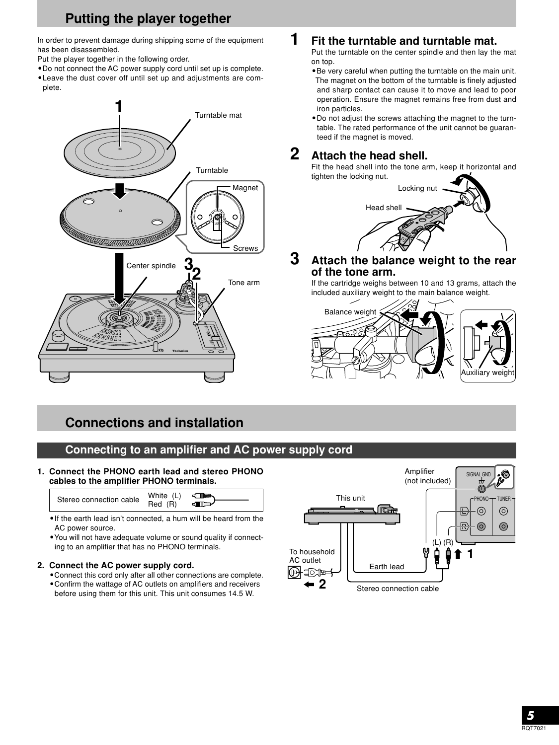# **Putting the player together**

In order to prevent damage during shipping some of the equipment has been disassembled.

- Put the player together in the following order.
- **•**Do not connect the AC power supply cord until set up is complete. **•**Leave the dust cover off until set up and adjustments are com-
- plete.



# **Connections and installation**

# **Connecting to an amplifier and AC power supply cord**

**1. Connect the PHONO earth lead and stereo PHONO cables to the amplifier PHONO terminals.**

| Stereo connection cable | White (L)<br>$Red$ $(R)$ | ⊲ Till<br><b>d■⊪⊪</b> |
|-------------------------|--------------------------|-----------------------|
|-------------------------|--------------------------|-----------------------|

**•**If the earth lead isn't connected, a hum will be heard from the AC power source.

**•**You will not have adequate volume or sound quality if connecting to an amplifier that has no PHONO terminals.

#### **2. Connect the AC power supply cord.**

**•**Connect this cord only after all other connections are complete.

**•**Confirm the wattage of AC outlets on amplifiers and receivers before using them for this unit. This unit consumes 14.5 W.



# **1 Fit the turntable and turntable mat.**

Put the turntable on the center spindle and then lay the mat on top.

- **•**Be very careful when putting the turntable on the main unit. The magnet on the bottom of the turntable is finely adjusted and sharp contact can cause it to move and lead to poor operation. Ensure the magnet remains free from dust and iron particles.
- **•**Do not adjust the screws attaching the magnet to the turntable. The rated performance of the unit cannot be guaranteed if the magnet is moved.

# **2 Attach the head shell.**

Fit the head shell into the tone arm, keep it horizontal and tighten the locking nut.



### **3 Attach the balance weight to the rear of the tone arm.**

If the cartridge weighs between 10 and 13 grams, attach the included auxiliary weight to the main balance weight.

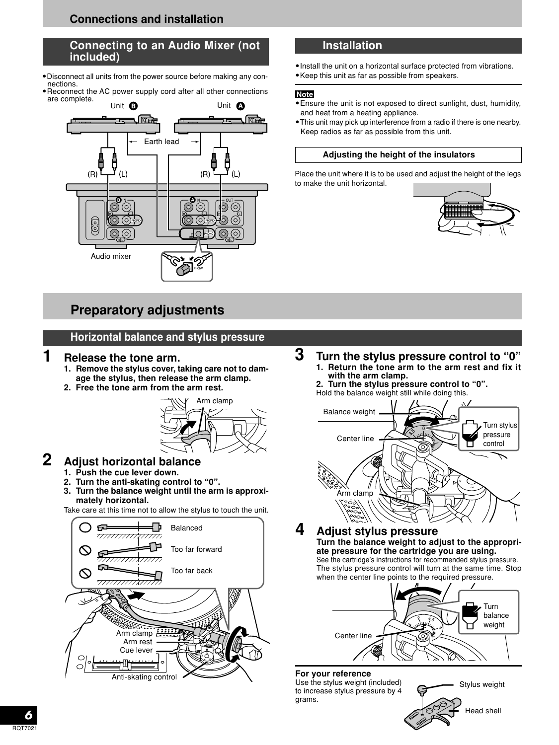# **Connections and installation**

### **Connecting to an Audio Mixer (not included)**

- **•**Disconnect all units from the power source before making any connections.
- **•**Reconnect the AC power supply cord after all other connections are complete.



# **Preparatory adjustments**

### **Horizontal balance and stylus pressure**

### **1 Release the tone arm.**

- **1. Remove the stylus cover, taking care not to damage the stylus, then release the arm clamp.**
- **2. Free the tone arm from the arm rest.**



# **2 Adjust horizontal balance**

- **1. Push the cue lever down.**
- **2. Turn the anti-skating control to "0".**
- **3. Turn the balance weight until the arm is approxi-**

Take care at this time not to allow the stylus to touch the unit.



# **Installation**

**•**Install the unit on a horizontal surface protected from vibrations. **•**Keep this unit as far as possible from speakers.

#### **Note**

- **•**Ensure the unit is not exposed to direct sunlight, dust, humidity, and heat from a heating appliance.
- **•**This unit may pick up interference from a radio if there is one nearby. Keep radios as far as possible from this unit.

#### **Adjusting the height of the insulators**

Place the unit where it is to be used and adjust the height of the legs to make the unit horizontal.



- **<sup>3</sup> Turn the stylus pressure control to "0" 1. Return the tone arm to the arm rest and fix it with the arm clamp.**
	- **2. Turn the stylus pressure control to "0".** Hold the balance weight still while doing this.



**4 Adjust stylus pressure Turn the balance weight to adjust to the appropriate pressure for the cartridge you are using.** See the cartridge's instructions for recommended stylus pressure.

The stylus pressure control will turn at the same time. Stop when the center line points to the required pressure.



#### **For your reference**

Use the stylus weight (included) to increase stylus pressure by 4 grams.

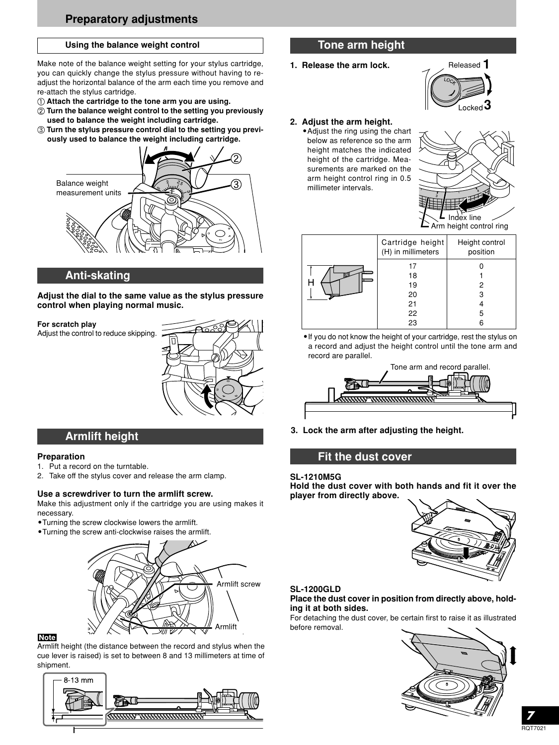#### **Using the balance weight control**

Make note of the balance weight setting for your stylus cartridge, you can quickly change the stylus pressure without having to readjust the horizontal balance of the arm each time you remove and re-attach the stylus cartridge.

- **Attach the cartridge to the tone arm you are using.**
- **Turn the balance weight control to the setting you previously used to balance the weight including cartridge.**
- **Turn the stylus pressure control dial to the setting you previously used to balance the weight including cartridge.**



### **Anti-skating**

**Adjust the dial to the same value as the stylus pressure control when playing normal music.**

#### **For scratch play**

Adjust the control to reduce skipping.



### **Armlift height**

#### **Preparation**

- 1. Put a record on the turntable.
- 2. Take off the stylus cover and release the arm clamp.

#### **Use a screwdriver to turn the armlift screw.**

Make this adjustment only if the cartridge you are using makes it necessary.

- **•**Turning the screw clockwise lowers the armlift.
- **•**Turning the screw anti-clockwise raises the armlift.



#### **Note**

Armlift height (the distance between the record and stylus when the cue lever is raised) is set to between 8 and 13 millimeters at time of shipment.



# **Tone arm height**

**1. Release the arm lock.**



#### **2. Adjust the arm height.**

**•**Adjust the ring using the chart below as reference so the arm height matches the indicated height of the cartridge. Measurements are marked on the arm height control ring in 0.5 millimeter intervals.



| Cartridge height<br>(H) in millimeters | Height control<br>position |
|----------------------------------------|----------------------------|
| 17                                     |                            |
| 18                                     |                            |
| 19                                     | 2                          |
| 20                                     | 3                          |
| 21                                     |                            |
| 22                                     | 5                          |
| 23                                     |                            |

**•**If you do not know the height of your cartridge, rest the stylus on a record and adjust the height control until the tone arm and record are parallel.



**3. Lock the arm after adjusting the height.**

### **Fit the dust cover**

#### **SL-1210M5G**

**Hold the dust cover with both hands and fit it over the player from directly above.**



#### **SL-1200GLD**

#### **Place the dust cover in position from directly above, holding it at both sides.**

For detaching the dust cover, be certain first to raise it as illustrated before removal.

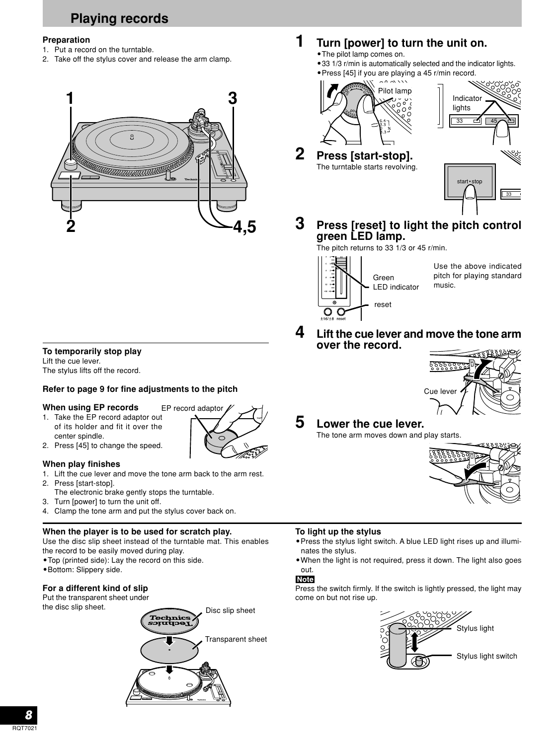# **Playing records**

#### **Preparation**

- 1. Put a record on the turntable.
- 2. Take off the stylus cover and release the arm clamp.



# **1 Turn [power] to turn the unit on.**

- **•**The pilot lamp comes on.
- **•**33 1/3 r/min is automatically selected and the indicator lights.
- **•**Press [45] if you are playing a 45 r/min record.



**2 Press [start-stop].** The turntable starts revolving.



**3 Press [reset] to light the pitch control green LED lamp.**

The pitch returns to 33 1/3 or 45 r/min.



**over the record.**

Use the above indicated pitch for playing standard music.

### **To temporarily stop play**

Lift the cue lever. The stylus lifts off the record.

### **Refer to page 9 for fine adjustments to the pitch**

#### **When using EP records**

- 1. Take the EP record adaptor out of its holder and fit it over the center spindle.
- 
- 2. Press [45] to change the speed.

#### **When play finishes**

- 1. Lift the cue lever and move the tone arm back to the arm rest.
- 2. Press [start-stop].
- The electronic brake gently stops the turntable.
- 3. Turn [power] to turn the unit off.
- 4. Clamp the tone arm and put the stylus cover back on.

#### **When the player is to be used for scratch play.**

Use the disc slip sheet instead of the turntable mat. This enables the record to be easily moved during play.

- **•**Top (printed side): Lay the record on this side.
- **•**Bottom: Slippery side.

#### **For a different kind of slip**

Put the transparent sheet under the disc slip sheet.





Cue lever

#### **To light up the stylus**

- **•**Press the stylus light switch. A blue LED light rises up and illuminates the stylus.
- **•**When the light is not required, press it down. The light also goes out.

#### **Note**

Press the switch firmly. If the switch is lightly pressed, the light may come on but not rise up.



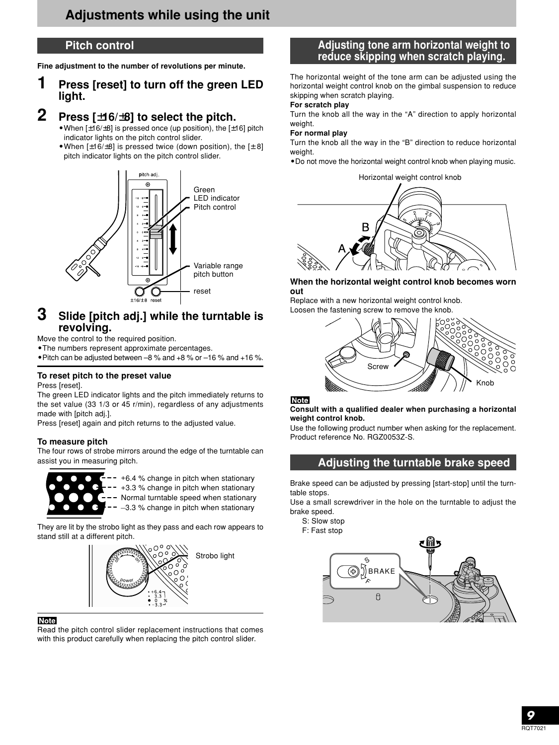### **Pitch control**

**Fine adjustment to the number of revolutions per minute.**

# **1 Press [reset] to turn off the green LED light.**

### **2 Press [**±**16/**±**8] to select the pitch.**

- **•**When [±16/±8] is pressed once (up position), the [±16] pitch indicator lights on the pitch control slider.
- **•**When [±16/±8] is pressed twice (down position), the [± 8] pitch indicator lights on the pitch control slider.



### **3 Slide [pitch adj.] while the turntable is revolving.**

Move the control to the required position.

**•**The numbers represent approximate percentages.

**•**Pitch can be adjusted between –8 % and +8 % or –16 % and +16 %.

#### **To reset pitch to the preset value**

Press [reset].

The green LED indicator lights and the pitch immediately returns to the set value (33 1/3 or 45 r/min), regardless of any adjustments made with [pitch adj.].

Press [reset] again and pitch returns to the adjusted value.

#### **To measure pitch**

The four rows of strobe mirrors around the edge of the turntable can assist you in measuring pitch.



 $-$  - +6.4 % change in pitch when stationary -- +3.3 % change in pitch when stationary

- -- Normal turntable speed when stationary
- $-5 3.3$  % change in pitch when stationary

They are lit by the strobo light as they pass and each row appears to stand still at a different pitch.



#### **Note**

Read the pitch control slider replacement instructions that comes with this product carefully when replacing the pitch control slider.

### **Adjusting tone arm horizontal weight to reduce skipping when scratch playing.**

The horizontal weight of the tone arm can be adjusted using the horizontal weight control knob on the gimbal suspension to reduce skipping when scratch playing.

#### **For scratch play**

Turn the knob all the way in the "A" direction to apply horizontal weight.

#### **For normal play**

Turn the knob all the way in the "B" direction to reduce horizontal weight.

**•**Do not move the horizontal weight control knob when playing music.

Horizontal weight control knob



#### **When the horizontal weight control knob becomes worn out**

Replace with a new horizontal weight control knob. Loosen the fastening screw to remove the knob.





#### **Consult with a qualified dealer when purchasing a horizontal weight control knob.**

Use the following product number when asking for the replacement. Product reference No. RGZ0053Z-S.

### **Adjusting the turntable brake speed**

Brake speed can be adjusted by pressing [start-stop] until the turntable stops.

Use a small screwdriver in the hole on the turntable to adjust the brake speed.

S: Slow stop

F: Fast stop

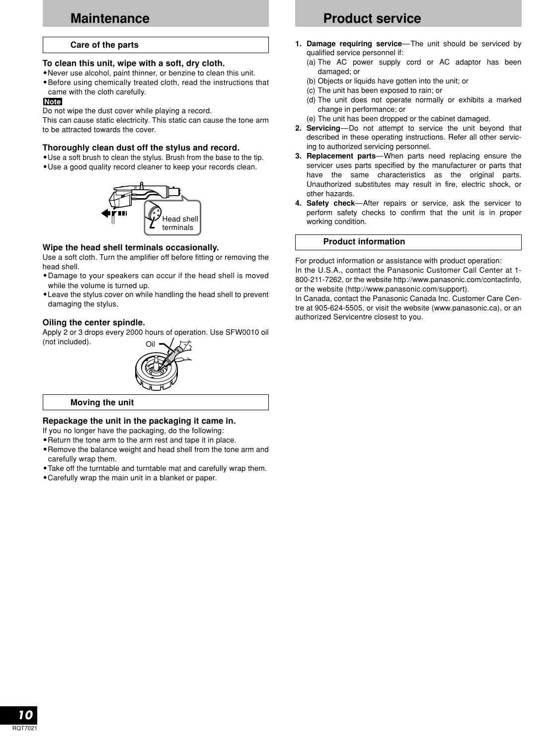# **Maintenance**

#### **Care of the parts**

#### **To clean this unit, wipe with a soft, dry cloth.**

- **•**Never use alcohol, paint thinner, or benzine to clean this unit.
- **•**Before using chemically treated cloth, read the instructions that came with the cloth carefully.

#### **Note**

Do not wipe the dust cover while playing a record.

This can cause static electricity. This static can cause the tone arm to be attracted towards the cover.

#### **Thoroughly clean dust off the stylus and record.**

- **•**Use a soft brush to clean the stylus. Brush from the base to the tip.
- **•**Use a good quality record cleaner to keep your records clean.



#### **Wipe the head shell terminals occasionally.**

Use a soft cloth. Turn the amplifier off before fitting or removing the head shell.

- **•**Damage to your speakers can occur if the head shell is moved while the volume is turned up.
- **•**Leave the stylus cover on while handling the head shell to prevent damaging the stylus.

#### **Oiling the center spindle.**

Oil Apply 2 or 3 drops every 2000 hours of operation. Use SFW0010 oil (not included).



**Moving the unit**

#### **Repackage the unit in the packaging it came in.**

- If you no longer have the packaging, do the following:
- **•**Return the tone arm to the arm rest and tape it in place.
- **•**Remove the balance weight and head shell from the tone arm and carefully wrap them.
- **•**Take off the turntable and turntable mat and carefully wrap them.
- **•**Carefully wrap the main unit in a blanket or paper.

# **Product service**

- **1. Damage requiring service**—The unit should be serviced by qualified service personnel if:
	- (a) The AC power supply cord or AC adaptor has been damaged; or
	- (b) Objects or liquids have gotten into the unit; or
	- (c) The unit has been exposed to rain; or
	- (d) The unit does not operate normally or exhibits a marked change in performance; or
	- (e) The unit has been dropped or the cabinet damaged.
- **2. Servicing**—Do not attempt to service the unit beyond that described in these operating instructions. Refer all other servicing to authorized servicing personnel.
- **3. Replacement parts**—When parts need replacing ensure the servicer uses parts specified by the manufacturer or parts that have the same characteristics as the original parts. Unauthorized substitutes may result in fire, electric shock, or other hazards.
- **4. Safety check**—After repairs or service, ask the servicer to perform safety checks to confirm that the unit is in proper working condition.

#### **Product information**

For product information or assistance with product operation: In the U.S.A., contact the Panasonic Customer Call Center at 1- 800-211-7262, or the website http://www.panasonic.com/contactinfo, or the website (http://www.panasonic.com/support).

In Canada, contact the Panasonic Canada Inc. Customer Care Centre at 905-624-5505, or visit the website (www.panasonic.ca), or an authorized Servicentre closest to you.

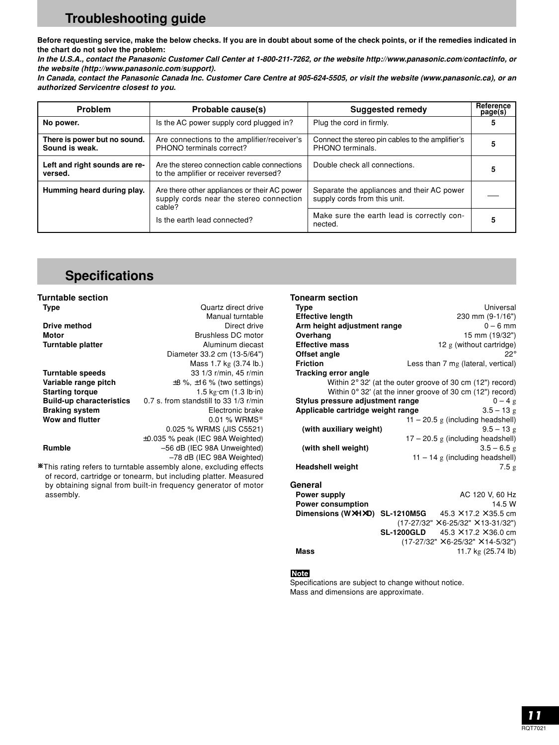# **Troubleshooting guide**

**Before requesting service, make the below checks. If you are in doubt about some of the check points, or if the remedies indicated in the chart do not solve the problem:**

**In the U.S.A., contact the Panasonic Customer Call Center at 1-800-211-7262, or the website http://www.panasonic.com/contactinfo, or the website (http://www.panasonic.com/support).**

**In Canada, contact the Panasonic Canada Inc. Customer Care Centre at 905-624-5505, or visit the website (www.panasonic.ca), or an authorized Servicentre closest to you.**

| Problem                                        | Probable cause(s)                                                                                 | <b>Suggested remedy</b>                                                    | Reference<br>page(s) |
|------------------------------------------------|---------------------------------------------------------------------------------------------------|----------------------------------------------------------------------------|----------------------|
| No power.                                      | Is the AC power supply cord plugged in?                                                           | Plug the cord in firmly.                                                   |                      |
| There is power but no sound.<br>Sound is weak. | Are connections to the amplifier/receiver's<br>PHONO terminals correct?                           | Connect the stereo pin cables to the amplifier's<br>PHONO terminals.       |                      |
| Left and right sounds are re-<br>versed.       | Are the stereo connection cable connections<br>to the amplifier or receiver reversed?             | Double check all connections.                                              |                      |
| Humming heard during play.                     | Are there other appliances or their AC power<br>supply cords near the stereo connection<br>cable? | Separate the appliances and their AC power<br>supply cords from this unit. |                      |
|                                                | Is the earth lead connected?                                                                      | Make sure the earth lead is correctly con-<br>nected.                      |                      |

# **Specifications**

| <b>Turntable section</b>        |                                          |
|---------------------------------|------------------------------------------|
| Type                            | Quartz direct drive                      |
|                                 | Manual turntable                         |
| Drive method                    | Direct drive                             |
| Motor                           | Brushless DC motor                       |
| Turntable platter               | Aluminum diecast                         |
|                                 | Diameter 33.2 cm (13-5/64")              |
|                                 | Mass 1.7 kg (3.74 lb.)                   |
| Turntable speeds                | 33 1/3 r/min, 45 r/min                   |
| Variable range pitch            | $\pm 8$ %, $\pm 16$ % (two settings)     |
| <b>Starting torque</b>          | 1.5 $kg$ cm $(1.3 lb in)$                |
| <b>Build-up characteristics</b> | $0.7$ s. from standstill to 33 1/3 r/min |
| <b>Braking system</b>           | Electronic brake                         |
| <b>Wow and flutter</b>          | $0.01$ % WRMS*                           |
|                                 | 0.025 % WRMS (JIS C5521)                 |
|                                 | $\pm 0.035$ % peak (IEC 98A Weighted)    |
| <b>Rumble</b>                   | -56 dB (IEC 98A Unweighted)              |
|                                 | -78 dB (IEC 98A Weighted)                |

\This rating refers to turntable assembly alone, excluding effects of record, cartridge or tonearm, but including platter. Measured by obtaining signal from built-in frequency generator of motor assembly.

#### **Tonearm section**

| <b>Type</b>                       | Universal                                                              |
|-----------------------------------|------------------------------------------------------------------------|
| <b>Effective length</b>           | 230 mm (9-1/16")                                                       |
| Arm height adjustment range       | $0 - 6$ mm                                                             |
| Overhang                          | 15 mm (19/32")                                                         |
| <b>Effective mass</b>             | $12 g$ (without cartridge)                                             |
| Offset angle                      | $22^{\circ}$                                                           |
| <b>Friction</b>                   | Less than 7 mg (lateral, vertical)                                     |
| <b>Tracking error angle</b>       |                                                                        |
|                                   | Within $2^{\circ}$ 32' (at the outer groove of 30 cm (12") record)     |
|                                   | Within $0^{\circ}$ 32' (at the inner groove of 30 cm (12") record)     |
| Stylus pressure adjustment range  | $0-4g$                                                                 |
| Applicable cartridge weight range | $3.5 - 13$ g                                                           |
|                                   | $11 - 20.5$ g (including headshell)                                    |
| (with auxiliary weight)           | $9.5 - 13g$                                                            |
|                                   | $17 - 20.5$ g (including headshell)                                    |
| (with shell weight)               | $3.5 - 6.5$ g                                                          |
|                                   | $11 - 14$ g (including headshell)                                      |
| <b>Headshell weight</b>           | 7.5g                                                                   |
|                                   |                                                                        |
| General                           |                                                                        |
| Power supply                      | AC 120 V, 60 Hz                                                        |
| <b>Power consumption</b>          | 14.5 W                                                                 |
|                                   | <b>Dimensions (WXHXD) SL-1210M5G</b> $45.3 \times 17.2 \times 35.5$ cm |
|                                   | $(17-27/32" \times 6-25/32" \times 13-31/32")$                         |
|                                   | <b>SL-1200GLD</b> $45.3 \times 17.2 \times 36.0$ cm                    |
|                                   | $(17-27/32" \times 6-25/32" \times 14-5/32")$                          |
| Mass                              | 11.7 kg (25.74 lb)                                                     |

#### **Note**

Specifications are subject to change without notice. Mass and dimensions are approximate.